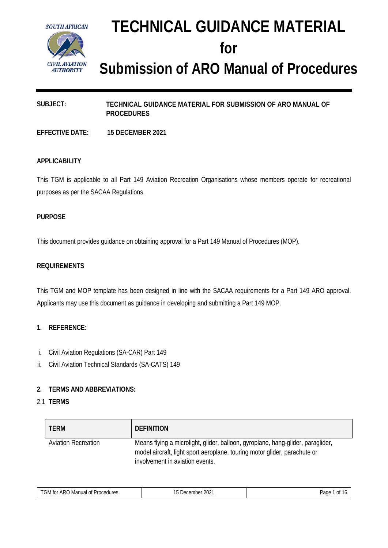

# **TECHNICAL GUIDANCE MATERIAL for Submission of ARO Manual of Procedures**

# **SUBJECT: TECHNICAL GUIDANCE MATERIAL FOR SUBMISSION OF ARO MANUAL OF PROCEDURES**

**EFFECTIVE DATE: 15 DECEMBER 2021**

#### **APPLICABILITY**

This TGM is applicable to all Part 149 Aviation Recreation Organisations whose members operate for recreational purposes as per the SACAA Regulations.

#### **PURPOSE**

This document provides guidance on obtaining approval for a Part 149 Manual of Procedures (MOP).

#### **REQUIREMENTS**

This TGM and MOP template has been designed in line with the SACAA requirements for a Part 149 ARO approval. Applicants may use this document as guidance in developing and submitting a Part 149 MOP.

#### **1. REFERENCE:**

- i. Civil Aviation Regulations (SA-CAR) Part 149
- ii. Civil Aviation Technical Standards (SA-CATS) 149

#### **2. TERMS AND ABBREVIATIONS:**

#### 2.1 **TERMS**

| <b>TERM</b>                | <b>DEFINITION</b>                                                                                                                                                                               |
|----------------------------|-------------------------------------------------------------------------------------------------------------------------------------------------------------------------------------------------|
| <b>Aviation Recreation</b> | Means flying a microlight, glider, balloon, gyroplane, hang-glider, paraglider,<br>model aircraft, light sport aeroplane, touring motor glider, parachute or<br>involvement in aviation events. |

|  | $TGM$ ,<br>$\sim$ $\sim$<br>∸ARC<br>Procedures<br>Manual<br>0t<br>tor | nnn-<br>December 2021 -<br>$\cdot$ | ∍age<br>IJ |
|--|-----------------------------------------------------------------------|------------------------------------|------------|
|--|-----------------------------------------------------------------------|------------------------------------|------------|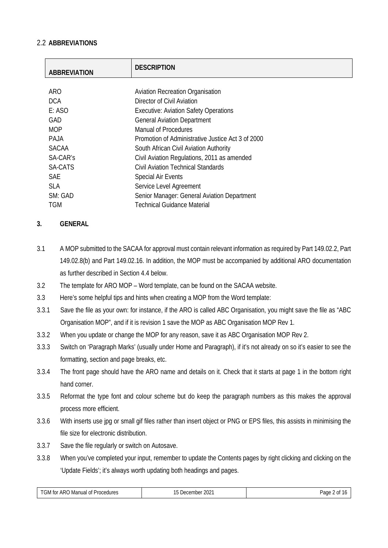# 2.2 **ABBREVIATIONS**

| <b>ABBREVIATION</b> | <b>DESCRIPTION</b>                                |
|---------------------|---------------------------------------------------|
|                     |                                                   |
| <b>ARO</b>          | <b>Aviation Recreation Organisation</b>           |
| <b>DCA</b>          | Director of Civil Aviation                        |
| E: ASO              | <b>Executive: Aviation Safety Operations</b>      |
| GAD                 | <b>General Aviation Department</b>                |
| <b>MOP</b>          | <b>Manual of Procedures</b>                       |
| PAJA                | Promotion of Administrative Justice Act 3 of 2000 |
| <b>SACAA</b>        | South African Civil Aviation Authority            |
| SA-CAR's            | Civil Aviation Regulations, 2011 as amended       |
| SA-CATS             | Civil Aviation Technical Standards                |
| <b>SAE</b>          | <b>Special Air Events</b>                         |
| <b>SLA</b>          | Service Level Agreement                           |
| SM: GAD             | Senior Manager: General Aviation Department       |
| <b>TGM</b>          | Technical Guidance Material                       |

# **3. GENERAL**

- 3.1 A MOP submitted to the SACAA for approval must contain relevant information as required by Part 149.02.2, Part 149.02.8(b) and Part 149.02.16. In addition, the MOP must be accompanied by additional ARO documentation as further described in Section 4.4 below.
- 3.2 The template for ARO MOP Word template, can be found on the SACAA website.
- 3.3 Here's some helpful tips and hints when creating a MOP from the Word template:
- 3.3.1 Save the file as your own: for instance, if the ARO is called ABC Organisation, you might save the file as "ABC Organisation MOP", and if it is revision 1 save the MOP as ABC Organisation MOP Rev 1.
- 3.3.2 When you update or change the MOP for any reason, save it as ABC Organisation MOP Rev 2.
- 3.3.3 Switch on 'Paragraph Marks' (usually under Home and Paragraph), if it's not already on so it's easier to see the formatting, section and page breaks, etc.
- 3.3.4 The front page should have the ARO name and details on it. Check that it starts at page 1 in the bottom right hand corner.
- 3.3.5 Reformat the type font and colour scheme but do keep the paragraph numbers as this makes the approval process more efficient.
- 3.3.6 With inserts use jpg or small gif files rather than insert object or PNG or EPS files, this assists in minimising the file size for electronic distribution.
- 3.3.7 Save the file regularly or switch on Autosave.
- 3.3.8 When you've completed your input, remember to update the Contents pages by right clicking and clicking on the 'Update Fields'; it's always worth updating both headings and pages.

| $\tau$<br>Procedures<br>⊦tor<br>) Manual of<br>* ARU<br>الاات | nnn-<br>ecember<br>ZUZ.<br>,,,,,, | Pagr<br>$\sim$<br>$\cdot$ |
|---------------------------------------------------------------|-----------------------------------|---------------------------|
| .                                                             |                                   |                           |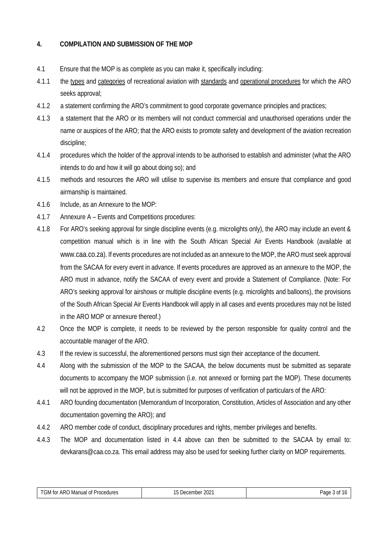# **4. COMPILATION AND SUBMISSION OF THE MOP**

- 4.1 Ensure that the MOP is as complete as you can make it, specifically including:
- 4.1.1 the types and categories of recreational aviation with standards and operational procedures for which the ARO seeks approval;
- 4.1.2 a statement confirming the ARO's commitment to good corporate governance principles and practices;
- 4.1.3 a statement that the ARO or its members will not conduct commercial and unauthorised operations under the name or auspices of the ARO; that the ARO exists to promote safety and development of the aviation recreation discipline;
- 4.1.4 procedures which the holder of the approval intends to be authorised to establish and administer (what the ARO intends to do and how it will go about doing so); and
- 4.1.5 methods and resources the ARO will utilise to supervise its members and ensure that compliance and good airmanship is maintained.
- 4.1.6 Include, as an Annexure to the MOP:
- 4.1.7 Annexure A Events and Competitions procedures:
- 4.1.8 For ARO's seeking approval for single discipline events (e.g. microlights only), the ARO may include an event & competition manual which is in line with the South African Special Air Events Handbook (available at [www.caa.co.za\)](http://www.caa.co.za/). If events procedures are not included as an annexure to the MOP, the ARO must seek approval from the SACAA for every event in advance. If events procedures are approved as an annexure to the MOP, the ARO must in advance, notify the SACAA of every event and provide a Statement of Compliance. (Note: For ARO's seeking approval for airshows or multiple discipline events (e.g. microlights and balloons), the provisions of the South African Special Air Events Handbook will apply in all cases and events procedures may not be listed in the ARO MOP or annexure thereof.)
- 4.2 Once the MOP is complete, it needs to be reviewed by the person responsible for quality control and the accountable manager of the ARO.
- 4.3 If the review is successful, the aforementioned persons must sign their acceptance of the document.
- 4.4 Along with the submission of the MOP to the SACAA, the below documents must be submitted as separate documents to accompany the MOP submission (i.e. not annexed or forming part the MOP). These documents will not be approved in the MOP, but is submitted for purposes of verification of particulars of the ARO:
- 4.4.1 ARO founding documentation (Memorandum of Incorporation, Constitution, Articles of Association and any other documentation governing the ARO); and
- 4.4.2 ARO member code of conduct, disciplinary procedures and rights, member privileges and benefits.
- 4.4.3 The MOP and documentation listed in 4.4 above can then be submitted to the SACAA by email to: [devkarans@caa.co.za.](mailto:devkarans@caa.co.za) This email address may also be used for seeking further clarity on MOP requirements.

| ARC<br>Procedures<br>Manual<br>$\sim$<br>. for<br>ا∨ات<br>UΙ<br>. | $202^{\circ}$<br>-<br>December<br>$\cdot$ | יααי<br>. |
|-------------------------------------------------------------------|-------------------------------------------|-----------|
|                                                                   |                                           |           |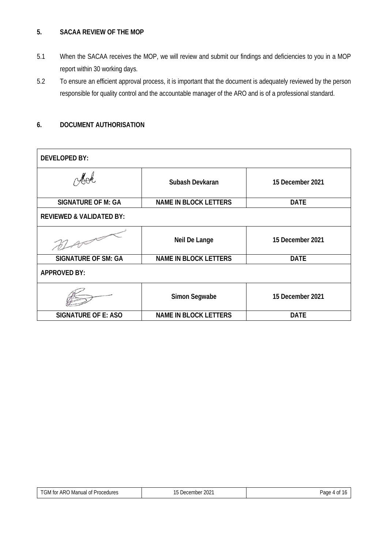#### **5. SACAA REVIEW OF THE MOP**

- 5.1 When the SACAA receives the MOP, we will review and submit our findings and deficiencies to you in a MOP report within 30 working days.
- 5.2 To ensure an efficient approval process, it is important that the document is adequately reviewed by the person responsible for quality control and the accountable manager of the ARO and is of a professional standard.

# **6. DOCUMENT AUTHORISATION**

| <b>DEVELOPED BY:</b>                |                              |                  |
|-------------------------------------|------------------------------|------------------|
| Mok                                 | Subash Devkaran              | 15 December 2021 |
| <b>SIGNATURE OF M: GA</b>           | <b>NAME IN BLOCK LETTERS</b> | <b>DATE</b>      |
| <b>REVIEWED &amp; VALIDATED BY:</b> |                              |                  |
|                                     | Neil De Lange                | 15 December 2021 |
| <b>SIGNATURE OF SM: GA</b>          | <b>NAME IN BLOCK LETTERS</b> | <b>DATE</b>      |
| <b>APPROVED BY:</b>                 |                              |                  |
|                                     | Simon Segwabe                | 15 December 2021 |
| <b>SIGNATURE OF E: ASO</b>          | <b>NAME IN BLOCK LETTERS</b> | <b>DATE</b>      |

| ากว่า<br>Jecember<br>ZUZ.<br>. | Page<br>$\sim$<br>$\mathbf{u}$<br>$\cdot$ |
|--------------------------------|-------------------------------------------|
|                                |                                           |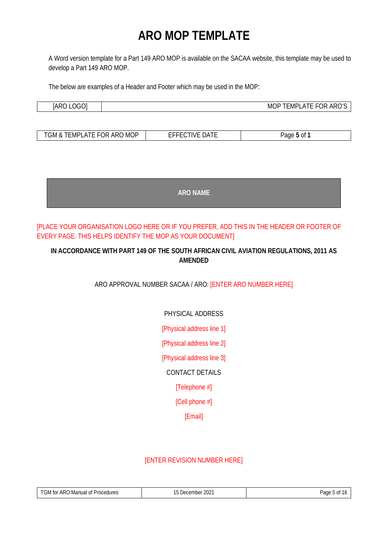# **ARO MOP TEMPLATE**

A Word version template for a Part 149 ARO MOP is available on the SACAA website, this template may be used to develop a Part 149 ARO MOP.

The below are examples of a Header and Footer which may be used in the MOP:

| $\sim$<br>ιΔH<br>ĸ<br>. .<br><br>______ | )ŀ<br>MO<br>.MP<br><br>. .<br>_______ |
|-----------------------------------------|---------------------------------------|

| `MG<br>$\Box$ MP'<br>'N 71<br>ົາພ<br>$\sim$<br>. TIVI<br>$\sim$<br>л. | ___<br>۱л | <sup>Ol</sup><br>٦C<br>าเ |
|-----------------------------------------------------------------------|-----------|---------------------------|

| <b>ARO NAME</b> |
|-----------------|
|-----------------|

# [PLACE YOUR ORGANISATION LOGO HERE OR IF YOU PREFER, ADD THIS IN THE HEADER OR FOOTER OF EVERY PAGE. THIS HELPS IDENTIFY THE MOP AS YOUR DOCUMENT]

# **IN ACCORDANCE WITH PART 149 OF THE SOUTH AFRICAN CIVIL AVIATION REGULATIONS, 2011 AS AMENDED**

ARO APPROVAL NUMBER SACAA / ARO: [ENTER ARO NUMBER HERE]

PHYSICAL ADDRESS

[Physical address line 1]

[Physical address line 2]

[Physical address line 3]

CONTACT DETAILS

[Telephone #]

[Cell phone #]

[Email]

# [ENTER REVISION NUMBER HERE]

| AR(<br>Procedures<br>t∩r<br>I Manual of<br>الاات<br>- 1 1 1 1<br>. | $\sim$ $\sim$ $\sim$<br>≏ember<br>10 <sup>o</sup><br>ZUZ<br>. | 100 <sub>1</sub><br>aut<br>. |
|--------------------------------------------------------------------|---------------------------------------------------------------|------------------------------|
|                                                                    |                                                               |                              |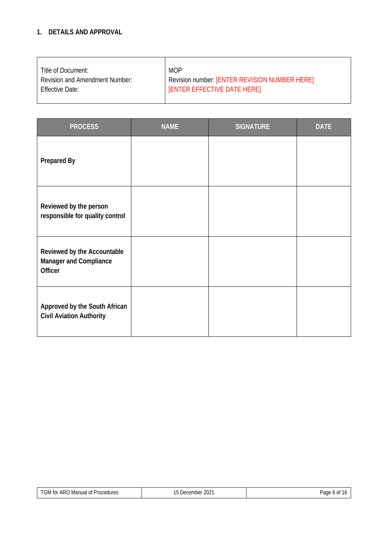# **1. DETAILS AND APPROVAL**

| Title of Document:                    | <b>MOP</b>                                    |
|---------------------------------------|-----------------------------------------------|
| <b>Revision and Amendment Number:</b> | Revision number: [ENTER REVISION NUMBER HERE] |
| <b>Effective Date:</b>                | <b>[ENTER EFFECTIVE DATE HERE]</b>            |
|                                       |                                               |

| <b>PROCESS</b>                                                                 | <b>NAME</b> | <b>SIGNATURE</b> | <b>DATE</b> |
|--------------------------------------------------------------------------------|-------------|------------------|-------------|
| <b>Prepared By</b>                                                             |             |                  |             |
| Reviewed by the person<br>responsible for quality control                      |             |                  |             |
| Reviewed by the Accountable<br><b>Manager and Compliance</b><br><b>Officer</b> |             |                  |             |
| Approved by the South African<br><b>Civil Aviation Authority</b>               |             |                  |             |

| TGM<br>ARO<br>Procedures<br>Manual of<br>tor<br>. | $\Omega$<br>$\sim$ $\sim$<br>December<br>ZUZ.<br>$\cdot$ | Page<br>$\sim$<br>$\mathbf{U}$<br>$\cdot$ |
|---------------------------------------------------|----------------------------------------------------------|-------------------------------------------|
|---------------------------------------------------|----------------------------------------------------------|-------------------------------------------|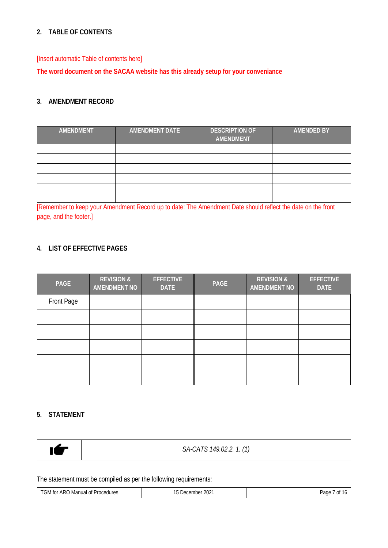# **2. TABLE OF CONTENTS**

[Insert automatic Table of contents here]

**The word document on the SACAA website has this already setup for your conveniance**

# **3. AMENDMENT RECORD**

| AMENDMENT | <b>AMENDMENT DATE</b> | <b>DESCRIPTION OF</b><br>AMENDMENT | <b>AMENDED BY</b> |
|-----------|-----------------------|------------------------------------|-------------------|
|           |                       |                                    |                   |
|           |                       |                                    |                   |
|           |                       |                                    |                   |
|           |                       |                                    |                   |
|           |                       |                                    |                   |
|           |                       |                                    |                   |

[Remember to keep your Amendment Record up to date: The Amendment Date should reflect the date on the front page, and the footer.]

# **4. LIST OF EFFECTIVE PAGES**

| PAGE       | <b>REVISION &amp;</b><br><b>AMENDMENT NO</b> | <b>EFFECTIVE</b><br><b>DATE</b> | <b>PAGE</b> | <b>REVISION &amp;</b><br><b>AMENDMENT NO</b> | <b>EFFECTIVE</b><br><b>DATE</b> |
|------------|----------------------------------------------|---------------------------------|-------------|----------------------------------------------|---------------------------------|
| Front Page |                                              |                                 |             |                                              |                                 |
|            |                                              |                                 |             |                                              |                                 |
|            |                                              |                                 |             |                                              |                                 |
|            |                                              |                                 |             |                                              |                                 |
|            |                                              |                                 |             |                                              |                                 |
|            |                                              |                                 |             |                                              |                                 |

#### **5. STATEMENT**

|  | SA-CATS 149.02.2. 1. (1) |
|--|--------------------------|
|--|--------------------------|

The statement must be compiled as per the following requirements:

| $  -$<br>tor<br><b>Procedures</b><br>Manual<br>ARU.<br>. | 200 <sup>n</sup><br>$\sim$<br>embe.<br>ZUZ<br>⊣ر.<br>$\mathcal{L}$<br>. . | ∍age<br>ΩĪ |
|----------------------------------------------------------|---------------------------------------------------------------------------|------------|
|                                                          |                                                                           |            |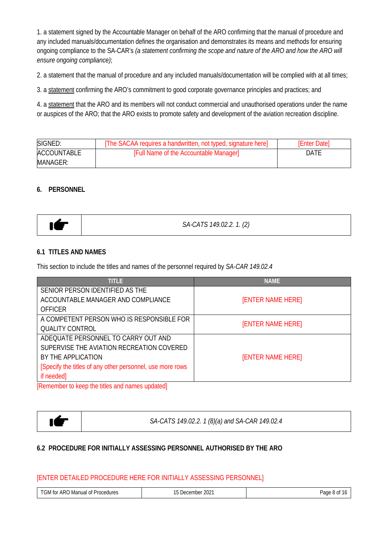1. a statement signed by the Accountable Manager on behalf of the ARO confirming that the manual of procedure and any included manuals/documentation defines the organisation and demonstrates its means and methods for ensuring ongoing compliance to the SA-CAR's *(a statement confirming the scope and nature of the ARO and how the ARO will ensure ongoing compliance)*;

2. a statement that the manual of procedure and any included manuals/documentation will be complied with at all times;

3. a statement confirming the ARO's commitment to good corporate governance principles and practices; and

4. a statement that the ARO and its members will not conduct commercial and unauthorised operations under the name or auspices of the ARO; that the ARO exists to promote safety and development of the aviation recreation discipline.

| SIGNED:            | [The SACAA requires a handwritten, not typed, signature here] | <b>[Enter Date]</b> |
|--------------------|---------------------------------------------------------------|---------------------|
| <b>ACCOUNTABLE</b> | [Full Name of the Accountable Manager]                        | DATE                |
| MANAGER:           |                                                               |                     |

#### **6. PERSONNEL**

#### **6.1 TITLES AND NAMES**

This section to include the titles and names of the personnel required by *SA-CAR 149.02.4*

| <b>TITLE</b>                                                  | <b>NAME</b>              |
|---------------------------------------------------------------|--------------------------|
| SENIOR PERSON IDENTIFIED AS THE                               |                          |
| ACCOUNTABLE MANAGER AND COMPLIANCE                            | <b>[ENTER NAME HERE]</b> |
| <b>OFFICER</b>                                                |                          |
| A COMPETENT PERSON WHO IS RESPONSIBLE FOR                     | <b>[ENTER NAME HERE]</b> |
| <b>QUALITY CONTROL</b>                                        |                          |
| ADEQUATE PERSONNEL TO CARRY OUT AND                           |                          |
| SUPERVISE THE AVIATION RECREATION COVERED                     |                          |
| BY THE APPLICATION                                            | <b>[ENTER NAME HERE]</b> |
| [Specify the titles of any other personnel, use more rows     |                          |
| if needed]                                                    |                          |
| <u> Ihatama is amen the saltit and the measure from the I</u> |                          |

[Remember to keep the titles and names updated]

IET

*SA-CATS 149.02.2. 1 (8)(a) and SA-CAR 149.02.4*

#### **6.2 PROCEDURE FOR INITIALLY ASSESSING PERSONNEL AUTHORISED BY THE ARO**

#### [ENTER DETAILED PROCEDURE HERE FOR INITIALLY ASSESSING PERSONNEL]

| ARC.<br>Manual<br>Procedures<br>not الات<br>0ľ<br>. | $\sim$<br>-<br>December<br><b>ZUZ</b> | Page. |
|-----------------------------------------------------|---------------------------------------|-------|
|                                                     |                                       |       |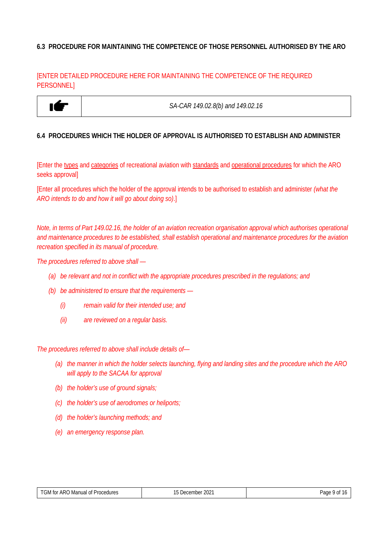#### **6.3 PROCEDURE FOR MAINTAINING THE COMPETENCE OF THOSE PERSONNEL AUTHORISED BY THE ARO**

#### [ENTER DETAILED PROCEDURE HERE FOR MAINTAINING THE COMPETENCE OF THE REQUIRED PERSONNEL]



*SA-CAR 149.02.8(b) and 149.02.16*

#### **6.4 PROCEDURES WHICH THE HOLDER OF APPROVAL IS AUTHORISED TO ESTABLISH AND ADMINISTER**

[Enter the types and categories of recreational aviation with standards and operational procedures for which the ARO seeks approval]

[Enter all procedures which the holder of the approval intends to be authorised to establish and administer *(what the ARO intends to do and how it will go about doing so)*.]

*Note, in terms of Part 149.02.16, the holder of an aviation recreation organisation approval which authorises operational and maintenance procedures to be established, shall establish operational and maintenance procedures for the aviation recreation specified in its manual of procedure.*

*The procedures referred to above shall —*

- *(a) be relevant and not in conflict with the appropriate procedures prescribed in the regulations; and*
- *(b) be administered to ensure that the requirements —*
	- *(i) remain valid for their intended use; and*
	- *(ii) are reviewed on a regular basis.*

*The procedures referred to above shall include details of—*

- *(a) the manner in which the holder selects launching, flying and landing sites and the procedure which the ARO will apply to the SACAA for approval*
- *(b) the holder's use of ground signals;*
- *(c) the holder's use of aerodromes or heliports;*
- *(d) the holder's launching methods; and*
- *(e) an emergency response plan.*

| $\overline{ }$<br>$\sim$ $\sim$<br>ARC<br>Dan∆<br>Procedures<br>Manual<br>$\sim$<br>$\sim$<br>toi<br>$\sim$<br>NI ت<br>∵ ∠∪∠<br>U.<br>. .<br>euennei<br>'dut<br>- 71<br>u<br>. |  |  |  |
|--------------------------------------------------------------------------------------------------------------------------------------------------------------------------------|--|--|--|
|--------------------------------------------------------------------------------------------------------------------------------------------------------------------------------|--|--|--|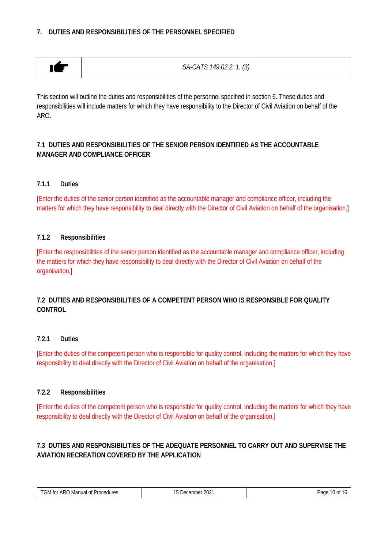# **7. DUTIES AND RESPONSIBILITIES OF THE PERSONNEL SPECIFIED**



*SA-CATS 149.02.2. 1. (3)*

This section will outline the duties and responsibilities of the personnel specified in section 6. These duties and responsibilities will include matters for which they have responsibility to the Director of Civil Aviation on behalf of the ARO.

### **7.1 DUTIES AND RESPONSIBILITIES OF THE SENIOR PERSON IDENTIFIED AS THE ACCOUNTABLE MANAGER AND COMPLIANCE OFFICER**

#### **7.1.1 Duties**

[Enter the duties of the senior person identified as the accountable manager and compliance officer, including the matters for which they have responsibility to deal directly with the Director of Civil Aviation on behalf of the organisation.]

#### **7.1.2 Responsibilities**

[Enter the responsibilities of the senior person identified as the accountable manager and compliance officer, including the matters for which they have responsibility to deal directly with the Director of Civil Aviation on behalf of the organisation.]

#### **7.2 DUTIES AND RESPONSIBILITIES OF A COMPETENT PERSON WHO IS RESPONSIBLE FOR QUALITY CONTROL**

#### **7.2.1 Duties**

[Enter the duties of the competent person who is responsible for quality control, including the matters for which they have responsibility to deal directly with the Director of Civil Aviation on behalf of the organisation.]

#### **7.2.2 Responsibilities**

[Enter the duties of the competent person who is responsible for quality control, including the matters for which they have responsibility to deal directly with the Director of Civil Aviation on behalf of the organisation.]

# **7.3 DUTIES AND RESPONSIBILITIES OF THE ADEQUATE PERSONNEL TO CARRY OUT AND SUPERVISE THE AVIATION RECREATION COVERED BY THE APPLICATION**

| ARC.<br>Procedures<br>Manual<br>tor<br>ΩŤ<br>ـ ا∨اد<br>u<br>. | $\sim$ $\sim$<br>, JACAM<br>nbei<br>ZUZ<br>1.1.1.1 | . .<br>Page<br>.<br>.<br>$\sim$ |
|---------------------------------------------------------------|----------------------------------------------------|---------------------------------|
|                                                               |                                                    |                                 |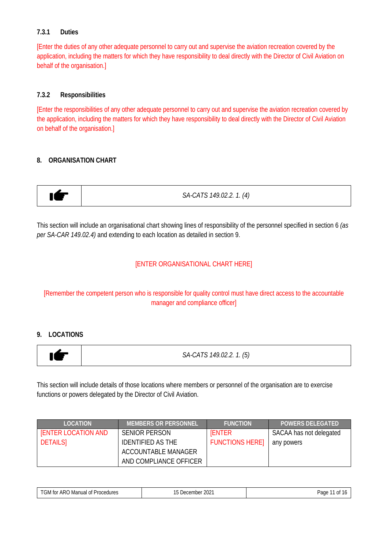#### **7.3.1 Duties**

[Enter the duties of any other adequate personnel to carry out and supervise the aviation recreation covered by the application, including the matters for which they have responsibility to deal directly with the Director of Civil Aviation on behalf of the organisation.]

#### **7.3.2 Responsibilities**

[Enter the responsibilities of any other adequate personnel to carry out and supervise the aviation recreation covered by the application, including the matters for which they have responsibility to deal directly with the Director of Civil Aviation on behalf of the organisation.]

#### **8. ORGANISATION CHART**



This section will include an organisational chart showing lines of responsibility of the personnel specified in section 6 *(as per SA-CAR 149.02.4)* and extending to each location as detailed in section 9.

#### [ENTER ORGANISATIONAL CHART HERE]

[Remember the competent person who is responsible for quality control must have direct access to the accountable manager and compliance officer]

#### **9. LOCATIONS**



This section will include details of those locations where members or personnel of the organisation are to exercise functions or powers delegated by the Director of Civil Aviation.

| <b>LOCATION</b>            | <b>MEMBERS OR PERSONNEL</b> | <b>FUNCTION</b>       | <b>POWERS DELEGATED</b> |
|----------------------------|-----------------------------|-----------------------|-------------------------|
| <b>IENTER LOCATION AND</b> | <b>SENIOR PERSON</b>        | <b>IENTER</b>         | SACAA has not delegated |
| <b>DETAILSI</b>            | <b>IDENTIFIED AS THE</b>    | <b>FUNCTIONS HERE</b> | any powers              |
|                            | ACCOUNTABLE MANAGER         |                       |                         |
|                            | AND COMPLIANCE OFFICER      |                       |                         |

| `ARC<br>) Manual of Procedures<br>tor<br>UM. | ົດດາ<br>December<br>ZUZ | ے صدر<br>0Ī<br>-auc |
|----------------------------------------------|-------------------------|---------------------|
|----------------------------------------------|-------------------------|---------------------|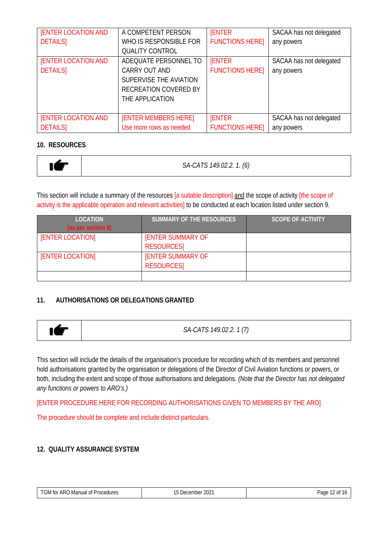| <b>[ENTER LOCATION AND</b><br><b>DETAILSI</b> | A COMPETENT PERSON<br>WHO IS RESPONSIBLE FOR<br><b>QUALITY CONTROL</b>                                       | <b>IENTER</b><br><b>FUNCTIONS HERE]</b> | SACAA has not delegated<br>any powers |
|-----------------------------------------------|--------------------------------------------------------------------------------------------------------------|-----------------------------------------|---------------------------------------|
| <b>[ENTER LOCATION AND</b><br><b>DETAILS</b>  | ADEQUATE PERSONNEL TO<br>CARRY OUT AND<br>SUPERVISE THE AVIATION<br>RECREATION COVERED BY<br>THE APPLICATION | <b>IENTER</b><br><b>FUNCTIONS HERE]</b> | SACAA has not delegated<br>any powers |
| <b>[ENTER LOCATION AND</b><br><b>DETAILS</b>  | <b>[ENTER MEMBERS HERE]</b><br>Use more rows as needed                                                       | <b>ENTER</b><br><b>FUNCTIONS HERE]</b>  | SACAA has not delegated<br>any powers |

#### **10. RESOURCES**

|  | SA-CATS 149.02.2. 1. (6) |
|--|--------------------------|
|--|--------------------------|

This section will include a summary of the resources [a suitable description] and the scope of activity [the scope of activity is the applicable operation and relevant activities] to be conducted at each location listed under section 9.

| <b>LOCATION</b>         | <b>SUMMARY OF THE RESOURCES</b> | <b>SCOPE OF ACTIVITY</b> |
|-------------------------|---------------------------------|--------------------------|
| [as per section 9]      |                                 |                          |
| <b>[ENTER LOCATION]</b> | <b>IENTER SUMMARY OF</b>        |                          |
|                         | <b>RESOURCES</b>                |                          |
| <b>[ENTER LOCATION]</b> | <b>IENTER SUMMARY OF</b>        |                          |
|                         | <b>RESOURCES</b>                |                          |
|                         |                                 |                          |

# **11. AUTHORISATIONS OR DELEGATIONS GRANTED**



*SA-CATS 149.02.2. 1 (7)*

This section will include the details of the organisation's procedure for recording which of its members and personnel hold authorisations granted by the organisation or delegations of the Director of Civil Aviation functions or powers, or both, including the extent and scope of those authorisations and delegations. *(Note that the Director has not delegated any functions or powers to ARO's.)*

[ENTER PROCEDURE HERE FOR RECORDING AUTHORISATIONS GIVEN TO MEMBERS BY THE ARO]

The procedure should be complete and include distinct particulars.

# **12. QUALITY ASSURANCE SYSTEM**

| ARC<br>Procedures<br>Manual<br>. GM for<br>ΩŤ<br>ω<br>. | 2021<br>-<br>December<br>. . | Page<br>ΩŤ<br>$\sim$ |
|---------------------------------------------------------|------------------------------|----------------------|
|                                                         |                              |                      |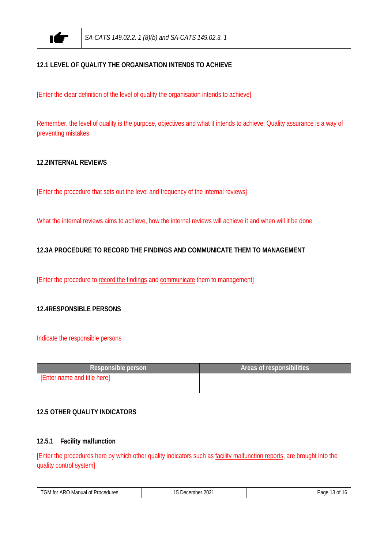

### **12.1 LEVEL OF QUALITY THE ORGANISATION INTENDS TO ACHIEVE**

[Enter the clear definition of the level of quality the organisation intends to achieve]

Remember, the level of quality is the purpose, objectives and what it intends to achieve. Quality assurance is a way of preventing mistakes.

#### **12.2INTERNAL REVIEWS**

[Enter the procedure that sets out the level and frequency of the internal reviews]

What the internal reviews aims to achieve, how the internal reviews will achieve it and when will it be done.

#### **12.3A PROCEDURE TO RECORD THE FINDINGS AND COMMUNICATE THEM TO MANAGEMENT**

[Enter the procedure to record the findings and communicate them to management]

#### **12.4RESPONSIBLE PERSONS**

#### Indicate the responsible persons

| Responsible person          | Areas of responsibilities |
|-----------------------------|---------------------------|
| [Enter name and title here] |                           |
|                             |                           |

#### **12.5 OTHER QUALITY INDICATORS**

#### **12.5.1 Facility malfunction**

[Enter the procedures here by which other quality indicators such as facility malfunction reports, are brought into the quality control system]

| $\tau$<br>ARO<br>Procedures<br>Manual of<br>tor<br>Nc٠<br>. | $\sim$<br>≦ Decembe.<br>ZUZ.<br>$\cdot$<br>$\sim$ | Page<br>0ľ<br>. |
|-------------------------------------------------------------|---------------------------------------------------|-----------------|
|-------------------------------------------------------------|---------------------------------------------------|-----------------|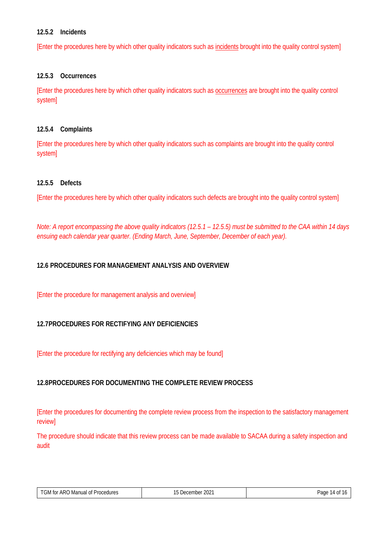#### **12.5.2 Incidents**

[Enter the procedures here by which other quality indicators such as incidents brought into the quality control system]

#### **12.5.3 Occurrences**

[Enter the procedures here by which other quality indicators such as occurrences are brought into the quality control system]

#### **12.5.4 Complaints**

[Enter the procedures here by which other quality indicators such as complaints are brought into the quality control system]

#### **12.5.5 Defects**

[Enter the procedures here by which other quality indicators such defects are brought into the quality control system]

*Note: A report encompassing the above quality indicators (12.5.1 – 12.5.5) must be submitted to the CAA within 14 days ensuing each calendar year quarter. (Ending March, June, September, December of each year).*

#### **12.6 PROCEDURES FOR MANAGEMENT ANALYSIS AND OVERVIEW**

[Enter the procedure for management analysis and overview]

#### **12.7PROCEDURES FOR RECTIFYING ANY DEFICIENCIES**

[Enter the procedure for rectifying any deficiencies which may be found]

#### **12.8PROCEDURES FOR DOCUMENTING THE COMPLETE REVIEW PROCESS**

[Enter the procedures for documenting the complete review process from the inspection to the satisfactory management review]

The procedure should indicate that this review process can be made available to SACAA during a safety inspection and audit

| $\tau$ $\sim$ $\cdot$ $\cdot$<br>. ARO $^{\prime}$<br>Procedures<br>Manual of<br>tor<br>u۷Iس<br>. | $\Omega$<br>--<br>December<br>ZUZ.<br>$\cdot$ | Page<br>$-1$<br>-11<br>$\mathbf{v}$<br>. |
|---------------------------------------------------------------------------------------------------|-----------------------------------------------|------------------------------------------|
|---------------------------------------------------------------------------------------------------|-----------------------------------------------|------------------------------------------|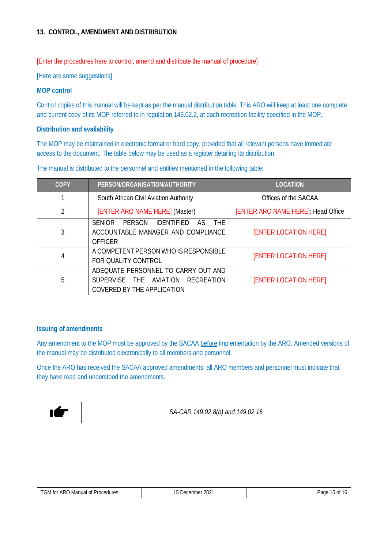#### **13. CONTROL, AMENDMENT AND DISTRIBUTION**

[Enter the procedures here to control, amend and distribute the manual of procedure]

[Here are some suggestions]

#### **MOP control**

Control copies of this manual will be kept as per the manual distribution table. This ARO will keep at least one complete and current copy of its MOP referred to in regulation 149.02.2, at each recreation facility specified in the MOP.

#### **Distribution and availability**

The MOP may be maintained in electronic format or hard copy, provided that all relevant persons have immediate access to the document. The table below may be used as a register detailing its distribution.

| COPY           | PERSON/ORGANISATION/AUTHORITY                                                                                                   | <b>LOCATION</b>                    |
|----------------|---------------------------------------------------------------------------------------------------------------------------------|------------------------------------|
|                | South African Civil Aviation Authority                                                                                          | Offices of the SACAA               |
| $\overline{2}$ | [ENTER ARO NAME HERE] (Master)                                                                                                  | [ENTER ARO NAME HERE]: Head Office |
| 3              | <b>SENIOR</b><br><b>PERSON</b><br><b>IDENTIFIED</b><br><b>THE</b><br>AS<br>ACCOUNTABLE MANAGER AND COMPLIANCE<br><b>OFFICER</b> | <b>[ENTER LOCATION HERE]</b>       |
| 4              | A COMPETENT PERSON WHO IS RESPONSIBLE<br>FOR QUALITY CONTROL                                                                    | <b>[ENTER LOCATION HERE]</b>       |
| 5              | ADEQUATE PERSONNEL TO CARRY OUT AND<br>SUPERVISE THE AVIATION RECREATION<br>COVERED BY THE APPLICATION                          | <b>[ENTER LOCATION HERE]</b>       |

The manual is distributed to the personnel and entities mentioned in the following table:

#### **Issuing of amendments**

Any amendment to the MOP must be approved by the SACAA before implementation by the ARO. Amended versions of the manual may be distributed electronically to all members and personnel.

Once the ARO has received the SACAA approved amendments, all ARO members and personnel must indicate that they have read and understood the amendments.



*SA-CAR 149.02.8(b) and 149.02.16*

| TGN.<br>ARC<br>cedures<br>Manual<br>tor<br>ΩŤ<br>$rr \sim$<br>. C. D. I<br>.<br>. | 2022<br>ZUZ.<br>ISUSHIDEL<br>$\cdot$ | $\sim$<br>raul<br>$\mathbf{u}$<br>. |
|-----------------------------------------------------------------------------------|--------------------------------------|-------------------------------------|